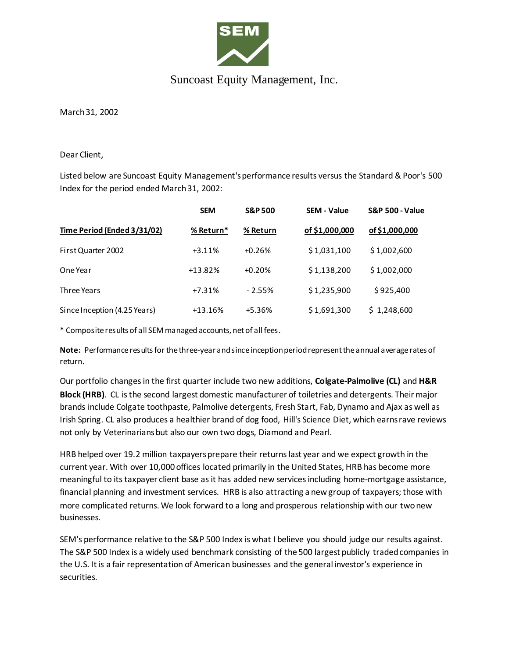

## Suncoast Equity Management, Inc.

March 31, 2002

Dear Client,

Listed below are Suncoast Equity Management's performance results versus the Standard & Poor's 500 Index for the period ended March 31, 2002:

|                              | <b>SEM</b> | <b>S&amp;P 500</b> | <b>SEM - Value</b> | <b>S&amp;P 500 - Value</b> |
|------------------------------|------------|--------------------|--------------------|----------------------------|
| Time Period (Ended 3/31/02)  | % Return*  | % Return           | of \$1,000,000     | of \$1,000,000             |
| First Quarter 2002           | $+3.11%$   | $+0.26%$           | \$1,031,100        | \$1,002,600                |
| One Year                     | $+13.82%$  | $+0.20%$           | \$1,138,200        | \$1,002,000                |
| Three Years                  | $+7.31%$   | $-2.55%$           | \$1,235,900        | \$925,400                  |
| Since Inception (4.25 Years) | $+13.16%$  | $+5.36%$           | \$1,691,300        | \$1,248,600                |

\* Composite results of all SEM managed accounts, net of all fees.

**Note:** Performance results for the three-year and since inception period represent the annual average rates of return.

Our portfolio changes in the first quarter include two new additions, **Colgate-Palmolive (CL)** and **H&R Block (HRB)**. CL is the second largest domestic manufacturer of toiletries and detergents. Their major brands include Colgate toothpaste, Palmolive detergents, Fresh Start, Fab, Dynamo and Ajax as well as Irish Spring. CL also produces a healthier brand of dog food, Hill's Science Diet, which earns rave reviews not only by Veterinarians but also our own two dogs, Diamond and Pearl.

HRB helped over 19.2 million taxpayers prepare their returns last year and we expect growth in the current year. With over 10,000 offices located primarily in the United States, HRB has become more meaningful to its taxpayer client base as it has added new services including home-mortgage assistance, financial planning and investment services. HRB is also attracting a new group of taxpayers; those with more complicated returns. We look forward to a long and prosperous relationship with our two new businesses.

SEM's performance relative to the S&P 500 Index is what I believe you should judge our results against. The S&P 500 Index is a widely used benchmark consisting of the 500 largest publicly traded companies in the U.S. It is a fair representation of American businesses and the general investor's experience in securities.